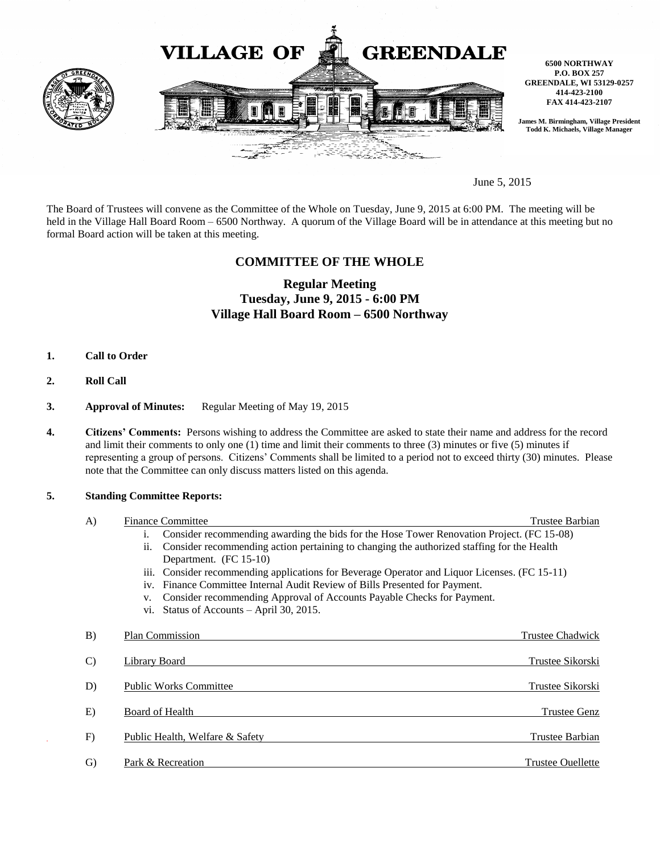

June 5, 2015

The Board of Trustees will convene as the Committee of the Whole on Tuesday, June 9, 2015 at 6:00 PM. The meeting will be held in the Village Hall Board Room – 6500 Northway. A quorum of the Village Board will be in attendance at this meeting but no formal Board action will be taken at this meeting.

## **COMMITTEE OF THE WHOLE**

# **Regular Meeting Tuesday, June 9, 2015 - 6:00 PM Village Hall Board Room – 6500 Northway**

- **1. Call to Order**
- **2. Roll Call**
- **3. Approval of Minutes:** Regular Meeting of May 19, 2015
- **4. Citizens' Comments:** Persons wishing to address the Committee are asked to state their name and address for the record and limit their comments to only one (1) time and limit their comments to three (3) minutes or five (5) minutes if representing a group of persons. Citizens' Comments shall be limited to a period not to exceed thirty (30) minutes. Please note that the Committee can only discuss matters listed on this agenda.

### **5. Standing Committee Reports:**

| A)            | <b>Finance Committee</b>                                                                                    | Trustee Barbian          |
|---------------|-------------------------------------------------------------------------------------------------------------|--------------------------|
|               | Consider recommending awarding the bids for the Hose Tower Renovation Project. (FC 15-08)<br>$\mathbf{1}$ . |                          |
|               | Consider recommending action pertaining to changing the authorized staffing for the Health<br>ii.           |                          |
|               | Department. (FC 15-10)                                                                                      |                          |
|               | iii. Consider recommending applications for Beverage Operator and Liquor Licenses. (FC 15-11)               |                          |
|               | iv. Finance Committee Internal Audit Review of Bills Presented for Payment.                                 |                          |
|               | Consider recommending Approval of Accounts Payable Checks for Payment.<br>V.                                |                          |
|               | vi. Status of Accounts - April 30, 2015.                                                                    |                          |
| B)            | Plan Commission                                                                                             | Trustee Chadwick         |
|               |                                                                                                             |                          |
| $\mathcal{C}$ | <b>Library Board</b>                                                                                        | Trustee Sikorski         |
|               |                                                                                                             |                          |
| D)            | <b>Public Works Committee</b>                                                                               | <b>Trustee Sikorski</b>  |
|               |                                                                                                             |                          |
| E)            | Board of Health                                                                                             | <b>Trustee Genz</b>      |
|               |                                                                                                             |                          |
| F)            | Public Health, Welfare & Safety                                                                             | Trustee Barbian          |
| G)            | Park & Recreation                                                                                           | <b>Trustee Ouellette</b> |
|               |                                                                                                             |                          |